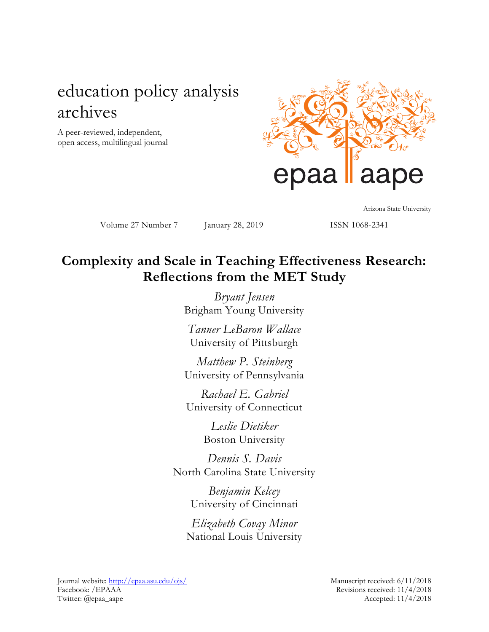# education policy analysis archives

A peer-reviewed, independent, open access, multilingual journal



Volume 27 Number 7 January 28, 2019 ISSN 1068-2341

Arizona State University

## **Complexity and Scale in Teaching Effectiveness Research: Reflections from the MET Study**

*Bryant Jensen* Brigham Young University

*Tanner LeBaron Wallace* University of Pittsburgh

*Matthew P. Steinberg* University of Pennsylvania

*Rachael E. Gabriel* University of Connecticut

> *Leslie Dietiker* Boston University

*Dennis S. Davis* North Carolina State University

> *Benjamin Kelcey* University of Cincinnati

*Elizabeth Covay Minor* National Louis University

Journal website:<http://epaa.asu.edu/ojs/> Manuscript received: 6/11/2018 Facebook: /EPAAA Revisions received: 11/4/2018 Twitter: @epaa\_aape Accepted: 11/4/2018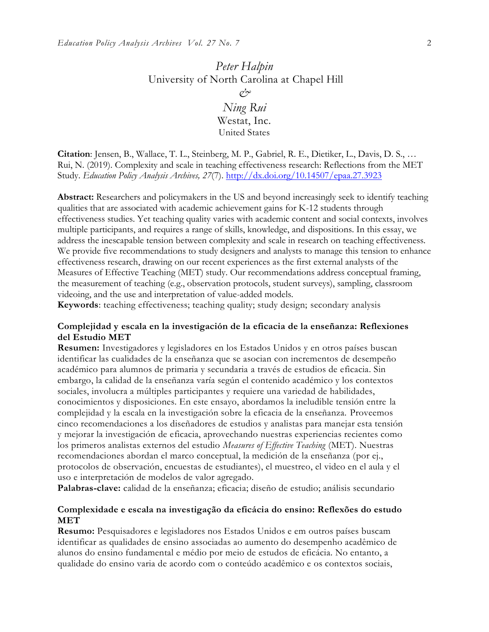## *Peter Halpin* University of North Carolina at Chapel Hill *& Ning Rui*

Westat, Inc. United States

**Citation**: Jensen, B., Wallace, T. L., Steinberg, M. P., Gabriel, R. E., Dietiker, L., Davis, D. S., … Rui, N. (2019). Complexity and scale in teaching effectiveness research: Reflections from the MET Study. *Education Policy Analysis Archives, 27*(7). <http://dx.doi.org/10.14507/epaa.27.3923>

**Abstract:** Researchers and policymakers in the US and beyond increasingly seek to identify teaching qualities that are associated with academic achievement gains for K-12 students through effectiveness studies. Yet teaching quality varies with academic content and social contexts, involves multiple participants, and requires a range of skills, knowledge, and dispositions. In this essay, we address the inescapable tension between complexity and scale in research on teaching effectiveness. We provide five recommendations to study designers and analysts to manage this tension to enhance effectiveness research, drawing on our recent experiences as the first external analysts of the Measures of Effective Teaching (MET) study. Our recommendations address conceptual framing, the measurement of teaching (e.g., observation protocols, student surveys), sampling, classroom videoing, and the use and interpretation of value-added models.

**Keywords**: teaching effectiveness; teaching quality; study design; secondary analysis

### **Complejidad y escala en la investigación de la eficacia de la enseñanza: Reflexiones del Estudio MET**

**Resumen:** Investigadores y legisladores en los Estados Unidos y en otros países buscan identificar las cualidades de la enseñanza que se asocian con incrementos de desempeño académico para alumnos de primaria y secundaria a través de estudios de eficacia. Sin embargo, la calidad de la enseñanza varía según el contenido académico y los contextos sociales, involucra a múltiples participantes y requiere una variedad de habilidades, conocimientos y disposiciones. En este ensayo, abordamos la ineludible tensión entre la complejidad y la escala en la investigación sobre la eficacia de la enseñanza. Proveemos cinco recomendaciones a los diseñadores de estudios y analistas para manejar esta tensión y mejorar la investigación de eficacia, aprovechando nuestras experiencias recientes como los primeros analistas externos del estudio *Measures of Effective Teaching* (MET). Nuestras recomendaciones abordan el marco conceptual, la medición de la enseñanza (por ej., protocolos de observación, encuestas de estudiantes), el muestreo, el video en el aula y el uso e interpretación de modelos de valor agregado.

**Palabras-clave:** calidad de la enseñanza; eficacia; diseño de estudio; análisis secundario

## **Complexidade e escala na investigação da eficácia do ensino: Reflexões do estudo MET**

**Resumo:** Pesquisadores e legisladores nos Estados Unidos e em outros países buscam identificar as qualidades de ensino associadas ao aumento do desempenho acadêmico de alunos do ensino fundamental e médio por meio de estudos de eficácia. No entanto, a qualidade do ensino varia de acordo com o conteúdo acadêmico e os contextos sociais,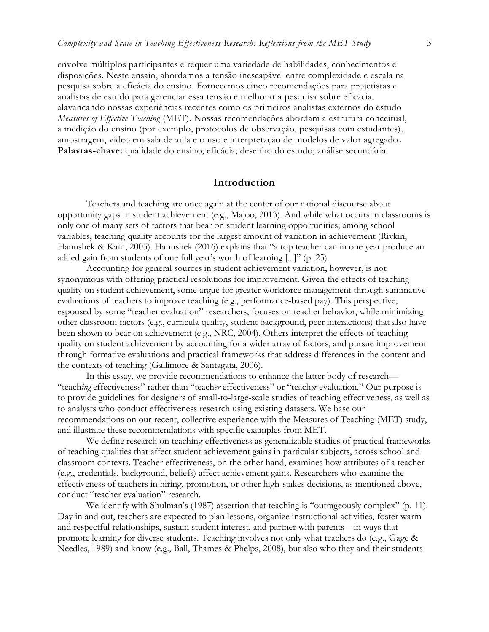envolve múltiplos participantes e requer uma variedade de habilidades, conhecimentos e disposições. Neste ensaio, abordamos a tensão inescapável entre complexidade e escala na pesquisa sobre a eficácia do ensino. Fornecemos cinco recomendações para projetistas e analistas de estudo para gerenciar essa tensão e melhorar a pesquisa sobre eficácia, alavancando nossas experiências recentes como os primeiros analistas externos do estudo *Measures of Effective Teaching* (MET). Nossas recomendações abordam a estrutura conceitual, a medição do ensino (por exemplo, protocolos de observação, pesquisas com estudantes), amostragem, vídeo em sala de aula e o uso e interpretação de modelos de valor agregado**. Palavras-chave:** qualidade do ensino; eficácia; desenho do estudo; análise secundária

### **Introduction**

Teachers and teaching are once again at the center of our national discourse about opportunity gaps in student achievement (e.g., Majoo, 2013). And while what occurs in classrooms is only one of many sets of factors that bear on student learning opportunities; among school variables, teaching quality accounts for the largest amount of variation in achievement (Rivkin, Hanushek & Kain, 2005). Hanushek (2016) explains that "a top teacher can in one year produce an added gain from students of one full year's worth of learning [...]" (p. 25).

Accounting for general sources in student achievement variation, however, is not synonymous with offering practical resolutions for improvement. Given the effects of teaching quality on student achievement, some argue for greater workforce management through summative evaluations of teachers to improve teaching (e.g., performance-based pay). This perspective, espoused by some "teacher evaluation" researchers, focuses on teacher behavior, while minimizing other classroom factors (e.g., curricula quality, student background, peer interactions) that also have been shown to bear on achievement (e.g., NRC, 2004). Others interpret the effects of teaching quality on student achievement by accounting for a wider array of factors, and pursue improvement through formative evaluations and practical frameworks that address differences in the content and the contexts of teaching (Gallimore & Santagata, 2006).

In this essay, we provide recommendations to enhance the latter body of research— "teach*ing* effectiveness" rather than "teach*er* effectiveness" or "teach*er* evaluation." Our purpose is to provide guidelines for designers of small-to-large-scale studies of teaching effectiveness, as well as to analysts who conduct effectiveness research using existing datasets. We base our recommendations on our recent, collective experience with the Measures of Teaching (MET) study, and illustrate these recommendations with specific examples from MET.

We define research on teaching effectiveness as generalizable studies of practical frameworks of teaching qualities that affect student achievement gains in particular subjects, across school and classroom contexts. Teacher effectiveness, on the other hand, examines how attributes of a teacher (e.g., credentials, background, beliefs) affect achievement gains. Researchers who examine the effectiveness of teachers in hiring, promotion, or other high-stakes decisions, as mentioned above, conduct "teacher evaluation" research.

We identify with Shulman's (1987) assertion that teaching is "outrageously complex" (p. 11). Day in and out, teachers are expected to plan lessons, organize instructional activities, foster warm and respectful relationships, sustain student interest, and partner with parents—in ways that promote learning for diverse students. Teaching involves not only what teachers do (e.g., Gage & Needles, 1989) and know (e.g., Ball, Thames & Phelps, 2008), but also who they and their students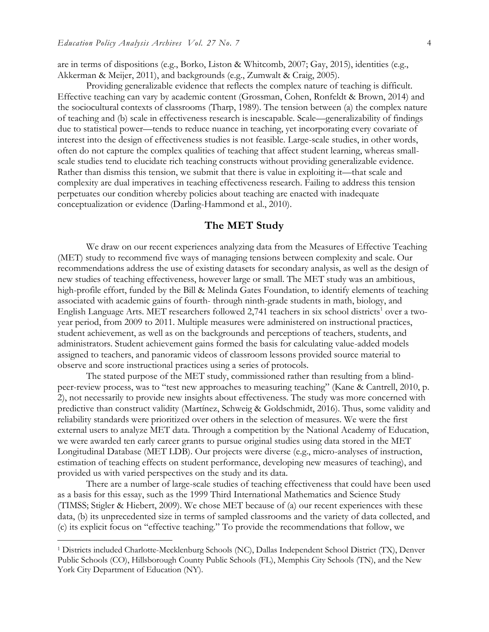are in terms of dispositions (e.g., Borko, Liston & Whitcomb, 2007; Gay, 2015), identities (e.g., Akkerman & Meijer, 2011), and backgrounds (e.g., Zumwalt & Craig, 2005).

Providing generalizable evidence that reflects the complex nature of teaching is difficult. Effective teaching can vary by academic content (Grossman, Cohen, Ronfeldt & Brown, 2014) and the sociocultural contexts of classrooms (Tharp, 1989). The tension between (a) the complex nature of teaching and (b) scale in effectiveness research is inescapable. Scale—generalizability of findings due to statistical power—tends to reduce nuance in teaching, yet incorporating every covariate of interest into the design of effectiveness studies is not feasible. Large-scale studies, in other words, often do not capture the complex qualities of teaching that affect student learning, whereas smallscale studies tend to elucidate rich teaching constructs without providing generalizable evidence. Rather than dismiss this tension, we submit that there is value in exploiting it—that scale and complexity are dual imperatives in teaching effectiveness research. Failing to address this tension perpetuates our condition whereby policies about teaching are enacted with inadequate conceptualization or evidence (Darling-Hammond et al., 2010).

## **The MET Study**

We draw on our recent experiences analyzing data from the Measures of Effective Teaching (MET) study to recommend five ways of managing tensions between complexity and scale. Our recommendations address the use of existing datasets for secondary analysis, as well as the design of new studies of teaching effectiveness, however large or small. The MET study was an ambitious, high-profile effort, funded by the Bill & Melinda Gates Foundation, to identify elements of teaching associated with academic gains of fourth- through ninth-grade students in math, biology, and English Language Arts. MET researchers followed  $2,741$  teachers in six school districts<sup>1</sup> over a twoyear period, from 2009 to 2011. Multiple measures were administered on instructional practices, student achievement, as well as on the backgrounds and perceptions of teachers, students, and administrators. Student achievement gains formed the basis for calculating value-added models assigned to teachers, and panoramic videos of classroom lessons provided source material to observe and score instructional practices using a series of protocols.

The stated purpose of the MET study, commissioned rather than resulting from a blindpeer-review process, was to "test new approaches to measuring teaching" (Kane & Cantrell, 2010, p. 2), not necessarily to provide new insights about effectiveness. The study was more concerned with predictive than construct validity (Martínez, Schweig & Goldschmidt, 2016). Thus, some validity and reliability standards were prioritized over others in the selection of measures. We were the first external users to analyze MET data. Through a competition by the National Academy of Education, we were awarded ten early career grants to pursue original studies using data stored in the MET Longitudinal Database (MET LDB). Our projects were diverse (e.g., micro-analyses of instruction, estimation of teaching effects on student performance, developing new measures of teaching), and provided us with varied perspectives on the study and its data.

There are a number of large-scale studies of teaching effectiveness that could have been used as a basis for this essay, such as the 1999 Third International Mathematics and Science Study (TIMSS; Stigler & Hiebert, 2009). We chose MET because of (a) our recent experiences with these data, (b) its unprecedented size in terms of sampled classrooms and the variety of data collected, and (c) its explicit focus on "effective teaching." To provide the recommendations that follow, we

 $\overline{a}$ 

<sup>1</sup> Districts included Charlotte-Mecklenburg Schools (NC), Dallas Independent School District (TX), Denver Public Schools (CO), Hillsborough County Public Schools (FL), Memphis City Schools (TN), and the New York City Department of Education (NY).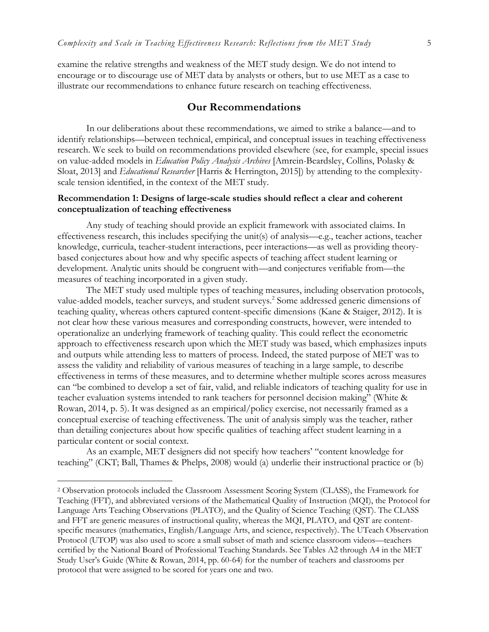examine the relative strengths and weakness of the MET study design. We do not intend to encourage or to discourage use of MET data by analysts or others, but to use MET as a case to illustrate our recommendations to enhance future research on teaching effectiveness.

## **Our Recommendations**

In our deliberations about these recommendations, we aimed to strike a balance—and to identify relationships—between technical, empirical, and conceptual issues in teaching effectiveness research. We seek to build on recommendations provided elsewhere (see, for example, special issues on value-added models in *Education Policy Analysis Archives* [Amrein-Beardsley, Collins, Polasky & Sloat, 2013] and *Educational Researcher* [Harris & Herrington, 2015]) by attending to the complexityscale tension identified, in the context of the MET study.

## **Recommendation 1: Designs of large-scale studies should reflect a clear and coherent conceptualization of teaching effectiveness**

Any study of teaching should provide an explicit framework with associated claims. In effectiveness research, this includes specifying the unit(s) of analysis—e.g., teacher actions, teacher knowledge, curricula, teacher-student interactions, peer interactions—as well as providing theorybased conjectures about how and why specific aspects of teaching affect student learning or development. Analytic units should be congruent with—and conjectures verifiable from—the measures of teaching incorporated in a given study.

The MET study used multiple types of teaching measures, including observation protocols, value-added models, teacher surveys, and student surveys.<sup>2</sup> Some addressed generic dimensions of teaching quality, whereas others captured content-specific dimensions (Kane & Staiger, 2012). It is not clear how these various measures and corresponding constructs, however, were intended to operationalize an underlying framework of teaching quality. This could reflect the econometric approach to effectiveness research upon which the MET study was based, which emphasizes inputs and outputs while attending less to matters of process. Indeed, the stated purpose of MET was to assess the validity and reliability of various measures of teaching in a large sample, to describe effectiveness in terms of these measures, and to determine whether multiple scores across measures can "be combined to develop a set of fair, valid, and reliable indicators of teaching quality for use in teacher evaluation systems intended to rank teachers for personnel decision making" (White & Rowan, 2014, p. 5). It was designed as an empirical/policy exercise, not necessarily framed as a conceptual exercise of teaching effectiveness. The unit of analysis simply was the teacher, rather than detailing conjectures about how specific qualities of teaching affect student learning in a particular content or social context.

As an example, MET designers did not specify how teachers' "content knowledge for teaching" (CKT; Ball, Thames & Phelps, 2008) would (a) underlie their instructional practice or (b)

 $\overline{a}$ 

<sup>2</sup> Observation protocols included the Classroom Assessment Scoring System (CLASS), the Framework for Teaching (FFT), and abbreviated versions of the Mathematical Quality of Instruction (MQI), the Protocol for Language Arts Teaching Observations (PLATO), and the Quality of Science Teaching (QST). The CLASS and FFT are generic measures of instructional quality, whereas the MQI, PLATO, and QST are contentspecific measures (mathematics, English/Language Arts, and science, respectively). The UTeach Observation Protocol (UTOP) was also used to score a small subset of math and science classroom videos—teachers certified by the National Board of Professional Teaching Standards. See Tables A2 through A4 in the MET Study User's Guide (White & Rowan, 2014, pp. 60-64) for the number of teachers and classrooms per protocol that were assigned to be scored for years one and two.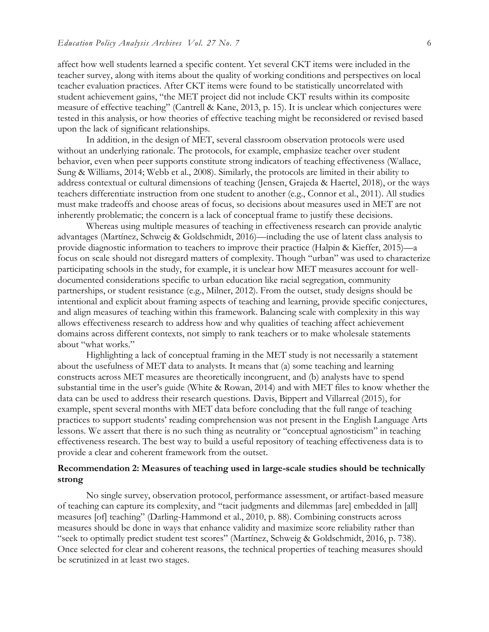affect how well students learned a specific content. Yet several CKT items were included in the teacher survey, along with items about the quality of working conditions and perspectives on local teacher evaluation practices. After CKT items were found to be statistically uncorrelated with student achievement gains, "the MET project did not include CKT results within its composite measure of effective teaching" (Cantrell & Kane, 2013, p. 15). It is unclear which conjectures were tested in this analysis, or how theories of effective teaching might be reconsidered or revised based upon the lack of significant relationships.

In addition, in the design of MET, several classroom observation protocols were used without an underlying rationale. The protocols, for example, emphasize teacher over student behavior, even when peer supports constitute strong indicators of teaching effectiveness (Wallace, Sung & Williams, 2014; Webb et al., 2008). Similarly, the protocols are limited in their ability to address contextual or cultural dimensions of teaching (Jensen, Grajeda & Haertel, 2018), or the ways teachers differentiate instruction from one student to another (e.g., Connor et al., 2011). All studies must make tradeoffs and choose areas of focus, so decisions about measures used in MET are not inherently problematic; the concern is a lack of conceptual frame to justify these decisions.

 Whereas using multiple measures of teaching in effectiveness research can provide analytic advantages (Martínez, Schweig & Goldschmidt, 2016)—including the use of latent class analysis to provide diagnostic information to teachers to improve their practice (Halpin & Kieffer, 2015)—a focus on scale should not disregard matters of complexity. Though "urban" was used to characterize participating schools in the study, for example, it is unclear how MET measures account for welldocumented considerations specific to urban education like racial segregation, community partnerships, or student resistance (e.g., Milner, 2012). From the outset, study designs should be intentional and explicit about framing aspects of teaching and learning, provide specific conjectures, and align measures of teaching within this framework. Balancing scale with complexity in this way allows effectiveness research to address how and why qualities of teaching affect achievement domains across different contexts, not simply to rank teachers or to make wholesale statements about "what works."

Highlighting a lack of conceptual framing in the MET study is not necessarily a statement about the usefulness of MET data to analysts. It means that (a) some teaching and learning constructs across MET measures are theoretically incongruent, and (b) analysts have to spend substantial time in the user's guide (White & Rowan, 2014) and with MET files to know whether the data can be used to address their research questions. Davis, Bippert and Villarreal (2015), for example, spent several months with MET data before concluding that the full range of teaching practices to support students' reading comprehension was not present in the English Language Arts lessons. We assert that there is no such thing as neutrality or "conceptual agnosticism" in teaching effectiveness research. The best way to build a useful repository of teaching effectiveness data is to provide a clear and coherent framework from the outset.

## **Recommendation 2: Measures of teaching used in large-scale studies should be technically strong**

No single survey, observation protocol, performance assessment, or artifact-based measure of teaching can capture its complexity, and "tacit judgments and dilemmas [are] embedded in [all] measures [of] teaching" (Darling-Hammond et al., 2010, p. 88). Combining constructs across measures should be done in ways that enhance validity and maximize score reliability rather than "seek to optimally predict student test scores" (Martínez, Schweig & Goldschmidt, 2016, p. 738). Once selected for clear and coherent reasons, the technical properties of teaching measures should be scrutinized in at least two stages.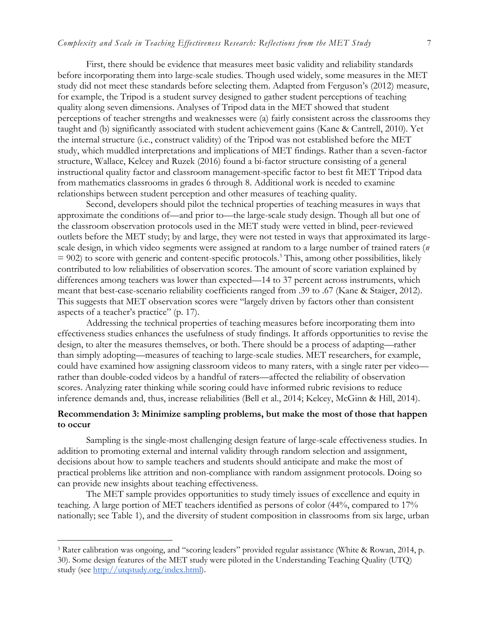First, there should be evidence that measures meet basic validity and reliability standards before incorporating them into large-scale studies. Though used widely, some measures in the MET study did not meet these standards before selecting them. Adapted from Ferguson's (2012) measure, for example, the Tripod is a student survey designed to gather student perceptions of teaching quality along seven dimensions. Analyses of Tripod data in the MET showed that student perceptions of teacher strengths and weaknesses were (a) fairly consistent across the classrooms they taught and (b) significantly associated with student achievement gains (Kane & Cantrell, 2010). Yet the internal structure (i.e., construct validity) of the Tripod was not established before the MET study, which muddled interpretations and implications of MET findings. Rather than a seven-factor structure, Wallace, Kelcey and Ruzek (2016) found a bi-factor structure consisting of a general instructional quality factor and classroom management-specific factor to best fit MET Tripod data from mathematics classrooms in grades 6 through 8. Additional work is needed to examine relationships between student perception and other measures of teaching quality.

Second, developers should pilot the technical properties of teaching measures in ways that approximate the conditions of—and prior to—the large-scale study design. Though all but one of the classroom observation protocols used in the MET study were vetted in blind, peer-reviewed outlets before the MET study; by and large, they were not tested in ways that approximated its largescale design, in which video segments were assigned at random to a large number of trained raters (*n*   $= 902$ ) to score with generic and content-specific protocols.<sup>3</sup> This, among other possibilities, likely contributed to low reliabilities of observation scores. The amount of score variation explained by differences among teachers was lower than expected—14 to 37 percent across instruments, which meant that best-case-scenario reliability coefficients ranged from .39 to .67 (Kane & Staiger, 2012). This suggests that MET observation scores were "largely driven by factors other than consistent aspects of a teacher's practice" (p. 17).

Addressing the technical properties of teaching measures before incorporating them into effectiveness studies enhances the usefulness of study findings. It affords opportunities to revise the design, to alter the measures themselves, or both. There should be a process of adapting—rather than simply adopting—measures of teaching to large-scale studies. MET researchers, for example, could have examined how assigning classroom videos to many raters, with a single rater per video rather than double-coded videos by a handful of raters—affected the reliability of observation scores. Analyzing rater thinking while scoring could have informed rubric revisions to reduce inference demands and, thus, increase reliabilities (Bell et al., 2014; Kelcey, McGinn & Hill, 2014).

## **Recommendation 3: Minimize sampling problems, but make the most of those that happen to occur**

Sampling is the single-most challenging design feature of large-scale effectiveness studies. In addition to promoting external and internal validity through random selection and assignment, decisions about how to sample teachers and students should anticipate and make the most of practical problems like attrition and non-compliance with random assignment protocols. Doing so can provide new insights about teaching effectiveness.

The MET sample provides opportunities to study timely issues of excellence and equity in teaching. A large portion of MET teachers identified as persons of color (44%, compared to 17% nationally; see Table 1), and the diversity of student composition in classrooms from six large, urban

 $\overline{a}$ 

<sup>3</sup> Rater calibration was ongoing, and "scoring leaders" provided regular assistance (White & Rowan, 2014, p. 30). Some design features of the MET study were piloted in the Understanding Teaching Quality (UTQ) study (see [http://utqstudy.org/index.html\)](http://utqstudy.org/index.html).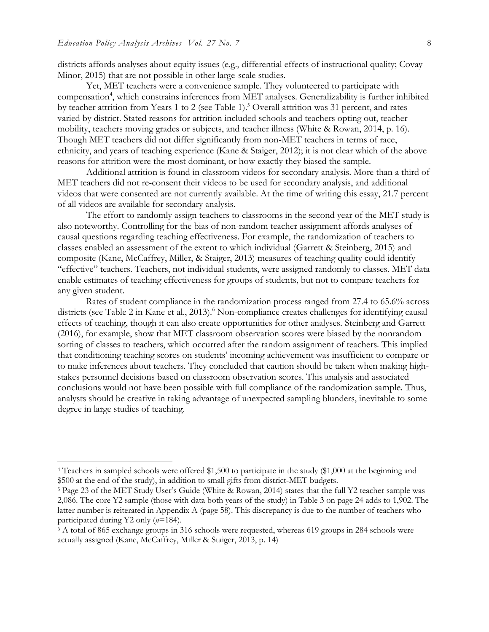$\overline{a}$ 

districts affords analyses about equity issues (e.g., differential effects of instructional quality; Covay Minor, 2015) that are not possible in other large-scale studies.

Yet, MET teachers were a convenience sample. They volunteered to participate with compensation<sup>4</sup>, which constrains inferences from MET analyses. Generalizability is further inhibited by teacher attrition from Years 1 to 2 (see Table 1).<sup>5</sup> Overall attrition was 31 percent, and rates varied by district. Stated reasons for attrition included schools and teachers opting out, teacher mobility, teachers moving grades or subjects, and teacher illness (White & Rowan, 2014, p. 16). Though MET teachers did not differ significantly from non-MET teachers in terms of race, ethnicity, and years of teaching experience (Kane & Staiger, 2012); it is not clear which of the above reasons for attrition were the most dominant, or how exactly they biased the sample.

Additional attrition is found in classroom videos for secondary analysis. More than a third of MET teachers did not re-consent their videos to be used for secondary analysis, and additional videos that were consented are not currently available. At the time of writing this essay, 21.7 percent of all videos are available for secondary analysis.

 The effort to randomly assign teachers to classrooms in the second year of the MET study is also noteworthy. Controlling for the bias of non-random teacher assignment affords analyses of causal questions regarding teaching effectiveness. For example, the randomization of teachers to classes enabled an assessment of the extent to which individual (Garrett & Steinberg, 2015) and composite (Kane, McCaffrey, Miller, & Staiger, 2013) measures of teaching quality could identify "effective" teachers. Teachers, not individual students, were assigned randomly to classes. MET data enable estimates of teaching effectiveness for groups of students, but not to compare teachers for any given student.

Rates of student compliance in the randomization process ranged from 27.4 to 65.6% across districts (see Table 2 in Kane et al., 2013).<sup>6</sup> Non-compliance creates challenges for identifying causal effects of teaching, though it can also create opportunities for other analyses. Steinberg and Garrett (2016), for example, show that MET classroom observation scores were biased by the nonrandom sorting of classes to teachers, which occurred after the random assignment of teachers. This implied that conditioning teaching scores on students' incoming achievement was insufficient to compare or to make inferences about teachers. They concluded that caution should be taken when making highstakes personnel decisions based on classroom observation scores. This analysis and associated conclusions would not have been possible with full compliance of the randomization sample. Thus, analysts should be creative in taking advantage of unexpected sampling blunders, inevitable to some degree in large studies of teaching.

<sup>4</sup> Teachers in sampled schools were offered \$1,500 to participate in the study (\$1,000 at the beginning and \$500 at the end of the study), in addition to small gifts from district-MET budgets.

<sup>5</sup> Page 23 of the MET Study User's Guide (White & Rowan, 2014) states that the full Y2 teacher sample was 2,086. The core Y2 sample (those with data both years of the study) in Table 3 on page 24 adds to 1,902. The latter number is reiterated in Appendix A (page 58). This discrepancy is due to the number of teachers who participated during Y2 only (*n*=184).

<sup>6</sup> A total of 865 exchange groups in 316 schools were requested, whereas 619 groups in 284 schools were actually assigned (Kane, McCaffrey, Miller & Staiger, 2013, p. 14)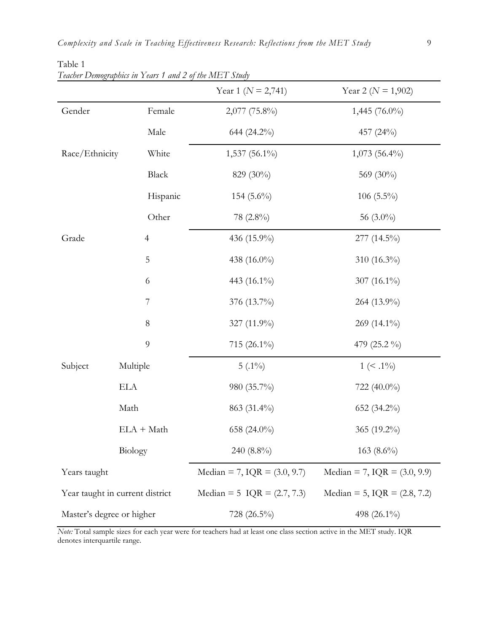|                                 |                | Year 1 ( $N = 2,741$ )         | Year 2 ( $N = 1,902$ )         |
|---------------------------------|----------------|--------------------------------|--------------------------------|
| Gender                          | Female         | 2,077 (75.8%)                  | 1,445 (76.0%)                  |
|                                 | Male           | 644 (24.2%)                    | 457 (24%)                      |
| Race/Ethnicity                  | White          | $1,537(56.1\%)$                | $1,073$ (56.4%)                |
|                                 | Black          | 829 (30%)                      | 569 (30%)                      |
|                                 | Hispanic       | 154 $(5.6\%)$                  | 106 $(5.5\%)$                  |
|                                 | Other          | 78 (2.8%)                      | 56 $(3.0\%)$                   |
| Grade                           | $\overline{4}$ | 436 (15.9%)                    | 277 (14.5%)                    |
|                                 | $\overline{5}$ | 438 (16.0%)                    | 310 (16.3%)                    |
|                                 | 6              | 443 (16.1%)                    | 307 (16.1%)                    |
|                                 | 7              | 376 (13.7%)                    | 264 (13.9%)                    |
|                                 | $8\,$          | 327 (11.9%)                    | 269 (14.1%)                    |
|                                 | $\overline{9}$ | 715 $(26.1\%)$                 | 479 (25.2 %)                   |
| Subject                         | Multiple       | $5(.1\%)$                      | $1 \leq .1\%$                  |
|                                 | <b>ELA</b>     | 980 (35.7%)                    | 722 (40.0%)                    |
|                                 | Math           | 863 (31.4%)                    | 652 $(34.2\%)$                 |
|                                 | $ELA + Math$   | 658 (24.0%)                    | 365 (19.2%)                    |
|                                 | Biology        | 240 (8.8%)                     | $163(8.6\%)$                   |
| Years taught                    |                | Median = 7, IQR = $(3.0, 9.7)$ | Median = 7, $IQR = (3.0, 9.9)$ |
| Year taught in current district |                | Median = 5 $IQR = (2.7, 7.3)$  | Median = 5, $IQR = (2.8, 7.2)$ |
| Master's degree or higher       |                | 728 (26.5%)                    | 498 (26.1%)                    |

Table 1 *Teacher Demographics in Years 1 and 2 of the MET Study*

*Note:* Total sample sizes for each year were for teachers had at least one class section active in the MET study. IQR denotes interquartile range.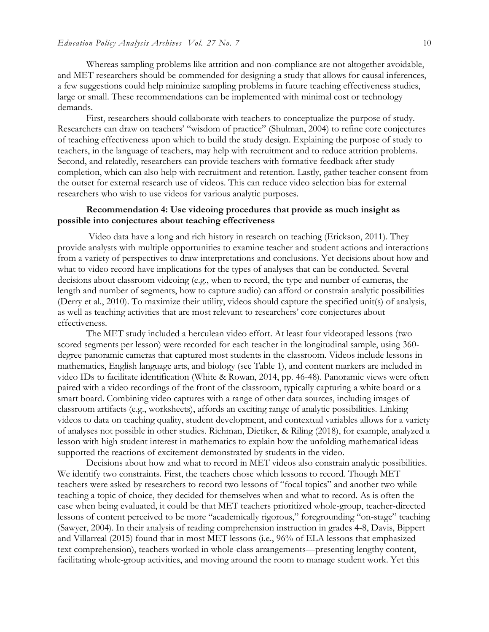Whereas sampling problems like attrition and non-compliance are not altogether avoidable, and MET researchers should be commended for designing a study that allows for causal inferences, a few suggestions could help minimize sampling problems in future teaching effectiveness studies, large or small. These recommendations can be implemented with minimal cost or technology demands.

First, researchers should collaborate with teachers to conceptualize the purpose of study. Researchers can draw on teachers' "wisdom of practice" (Shulman, 2004) to refine core conjectures of teaching effectiveness upon which to build the study design. Explaining the purpose of study to teachers, in the language of teachers, may help with recruitment and to reduce attrition problems. Second, and relatedly, researchers can provide teachers with formative feedback after study completion, which can also help with recruitment and retention. Lastly, gather teacher consent from the outset for external research use of videos. This can reduce video selection bias for external researchers who wish to use videos for various analytic purposes.

## **Recommendation 4: Use videoing procedures that provide as much insight as possible into conjectures about teaching effectiveness**

Video data have a long and rich history in research on teaching (Erickson, 2011). They provide analysts with multiple opportunities to examine teacher and student actions and interactions from a variety of perspectives to draw interpretations and conclusions. Yet decisions about how and what to video record have implications for the types of analyses that can be conducted. Several decisions about classroom videoing (e.g., when to record, the type and number of cameras, the length and number of segments, how to capture audio) can afford or constrain analytic possibilities (Derry et al., 2010). To maximize their utility, videos should capture the specified unit(s) of analysis, as well as teaching activities that are most relevant to researchers' core conjectures about effectiveness.

 The MET study included a herculean video effort. At least four videotaped lessons (two scored segments per lesson) were recorded for each teacher in the longitudinal sample, using 360 degree panoramic cameras that captured most students in the classroom. Videos include lessons in mathematics, English language arts, and biology (see Table 1), and content markers are included in video IDs to facilitate identification (White & Rowan, 2014, pp. 46-48). Panoramic views were often paired with a video recordings of the front of the classroom, typically capturing a white board or a smart board. Combining video captures with a range of other data sources, including images of classroom artifacts (e.g., worksheets), affords an exciting range of analytic possibilities. Linking videos to data on teaching quality, student development, and contextual variables allows for a variety of analyses not possible in other studies. Richman, Dietiker, & Riling (2018), for example, analyzed a lesson with high student interest in mathematics to explain how the unfolding mathematical ideas supported the reactions of excitement demonstrated by students in the video.

 Decisions about how and what to record in MET videos also constrain analytic possibilities. We identify two constraints. First, the teachers chose which lessons to record. Though MET teachers were asked by researchers to record two lessons of "focal topics" and another two while teaching a topic of choice, they decided for themselves when and what to record. As is often the case when being evaluated, it could be that MET teachers prioritized whole-group, teacher-directed lessons of content perceived to be more "academically rigorous," foregrounding "on-stage" teaching (Sawyer, 2004). In their analysis of reading comprehension instruction in grades 4-8, Davis, Bippert and Villarreal (2015) found that in most MET lessons (i.e., 96% of ELA lessons that emphasized text comprehension), teachers worked in whole-class arrangements—presenting lengthy content, facilitating whole-group activities, and moving around the room to manage student work. Yet this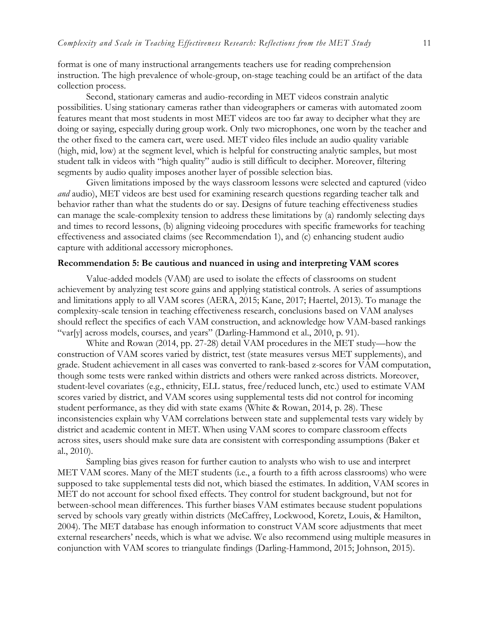format is one of many instructional arrangements teachers use for reading comprehension instruction. The high prevalence of whole-group, on-stage teaching could be an artifact of the data collection process.

Second, stationary cameras and audio-recording in MET videos constrain analytic possibilities. Using stationary cameras rather than videographers or cameras with automated zoom features meant that most students in most MET videos are too far away to decipher what they are doing or saying, especially during group work. Only two microphones, one worn by the teacher and the other fixed to the camera cart, were used. MET video files include an audio quality variable (high, mid, low) at the segment level, which is helpful for constructing analytic samples, but most student talk in videos with "high quality" audio is still difficult to decipher. Moreover, filtering segments by audio quality imposes another layer of possible selection bias.

Given limitations imposed by the ways classroom lessons were selected and captured (video *and* audio), MET videos are best used for examining research questions regarding teacher talk and behavior rather than what the students do or say. Designs of future teaching effectiveness studies can manage the scale-complexity tension to address these limitations by (a) randomly selecting days and times to record lessons, (b) aligning videoing procedures with specific frameworks for teaching effectiveness and associated claims (see Recommendation 1), and (c) enhancing student audio capture with additional accessory microphones.

## **Recommendation 5: Be cautious and nuanced in using and interpreting VAM scores**

Value-added models (VAM) are used to isolate the effects of classrooms on student achievement by analyzing test score gains and applying statistical controls. A series of assumptions and limitations apply to all VAM scores (AERA, 2015; Kane, 2017; Haertel, 2013). To manage the complexity-scale tension in teaching effectiveness research, conclusions based on VAM analyses should reflect the specifics of each VAM construction, and acknowledge how VAM-based rankings "var[y] across models, courses, and years" (Darling-Hammond et al., 2010, p. 91).

White and Rowan (2014, pp. 27-28) detail VAM procedures in the MET study—how the construction of VAM scores varied by district, test (state measures versus MET supplements), and grade. Student achievement in all cases was converted to rank-based z-scores for VAM computation, though some tests were ranked within districts and others were ranked across districts. Moreover, student-level covariates (e.g., ethnicity, ELL status, free/reduced lunch, etc.) used to estimate VAM scores varied by district, and VAM scores using supplemental tests did not control for incoming student performance, as they did with state exams (White & Rowan, 2014, p. 28). These inconsistencies explain why VAM correlations between state and supplemental tests vary widely by district and academic content in MET. When using VAM scores to compare classroom effects across sites, users should make sure data are consistent with corresponding assumptions (Baker et al., 2010).

Sampling bias gives reason for further caution to analysts who wish to use and interpret MET VAM scores. Many of the MET students (i.e., a fourth to a fifth across classrooms) who were supposed to take supplemental tests did not, which biased the estimates. In addition, VAM scores in MET do not account for school fixed effects. They control for student background, but not for between-school mean differences. This further biases VAM estimates because student populations served by schools vary greatly within districts (McCaffrey, Lockwood, Koretz, Louis, & Hamilton, 2004). The MET database has enough information to construct VAM score adjustments that meet external researchers' needs, which is what we advise. We also recommend using multiple measures in conjunction with VAM scores to triangulate findings (Darling-Hammond, 2015; Johnson, 2015).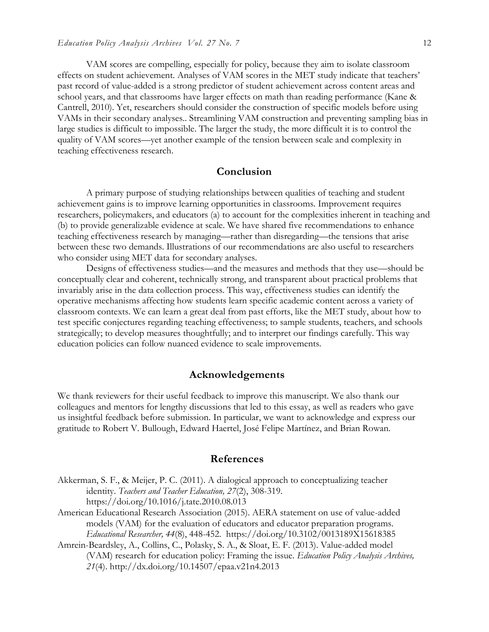VAM scores are compelling, especially for policy, because they aim to isolate classroom effects on student achievement. Analyses of VAM scores in the MET study indicate that teachers' past record of value-added is a strong predictor of student achievement across content areas and school years, and that classrooms have larger effects on math than reading performance (Kane & Cantrell, 2010). Yet, researchers should consider the construction of specific models before using VAMs in their secondary analyses.. Streamlining VAM construction and preventing sampling bias in large studies is difficult to impossible. The larger the study, the more difficult it is to control the quality of VAM scores—yet another example of the tension between scale and complexity in teaching effectiveness research.

## **Conclusion**

A primary purpose of studying relationships between qualities of teaching and student achievement gains is to improve learning opportunities in classrooms. Improvement requires researchers, policymakers, and educators (a) to account for the complexities inherent in teaching and (b) to provide generalizable evidence at scale. We have shared five recommendations to enhance teaching effectiveness research by managing—rather than disregarding—the tensions that arise between these two demands. Illustrations of our recommendations are also useful to researchers who consider using MET data for secondary analyses.

Designs of effectiveness studies—and the measures and methods that they use—should be conceptually clear and coherent, technically strong, and transparent about practical problems that invariably arise in the data collection process. This way, effectiveness studies can identify the operative mechanisms affecting how students learn specific academic content across a variety of classroom contexts. We can learn a great deal from past efforts, like the MET study, about how to test specific conjectures regarding teaching effectiveness; to sample students, teachers, and schools strategically; to develop measures thoughtfully; and to interpret our findings carefully. This way education policies can follow nuanced evidence to scale improvements.

## **Acknowledgements**

We thank reviewers for their useful feedback to improve this manuscript. We also thank our colleagues and mentors for lengthy discussions that led to this essay, as well as readers who gave us insightful feedback before submission. In particular, we want to acknowledge and express our gratitude to Robert V. Bullough, Edward Haertel, José Felipe Martínez, and Brian Rowan.

## **References**

- Akkerman, S. F., & Meijer, P. C. (2011). A dialogical approach to conceptualizing teacher identity. *Teachers and Teacher Education, 27*(2), 308-319. https://doi.org/10.1016/j.tate.2010.08.013
- American Educational Research Association (2015). AERA statement on use of value-added models (VAM) for the evaluation of educators and educator preparation programs. *Educational Researcher, 44*(8), 448-452. https://doi.org/10.3102/0013189X15618385
- Amrein-Beardsley, A., Collins, C., Polasky, S. A., & Sloat, E. F. (2013). Value-added model (VAM) research for education policy: Framing the issue. *Education Policy Analysis Archives, 21*(4). http://dx.doi.org/10.14507/epaa.v21n4.2013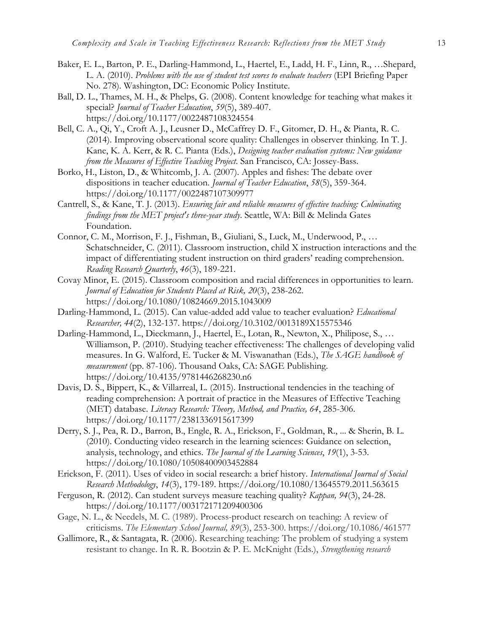- Baker, E. L., Barton, P. E., Darling-Hammond, L., Haertel, E., Ladd, H. F., Linn, R., …Shepard, L. A. (2010). *Problems with the use of student test scores to evaluate teachers* (EPI Briefing Paper No. 278). Washington, DC: Economic Policy Institute.
- Ball, D. L., Thames, M. H., & Phelps, G. (2008). Content knowledge for teaching what makes it special? *Journal of Teacher Education*, *59*(5), 389-407. https://doi.org/10.1177/0022487108324554
- Bell, C. A., Qi, Y., Croft A. J., Leusner D., McCaffrey D. F., Gitomer, D. H., & Pianta, R. C. (2014). Improving observational score quality: Challenges in observer thinking. In T. J. Kane, K. A. Kerr, & R. C. Pianta (Eds.), *Designing teacher evaluation systems: New guidance from the Measures of Effective Teaching Project*. San Francisco, CA: Jossey-Bass.
- Borko, H., Liston, D., & Whitcomb, J. A. (2007). Apples and fishes: The debate over dispositions in teacher education. *Journal of Teacher Education*, *58*(5), 359-364. https://doi.org/10.1177/0022487107309977
- Cantrell, S., & Kane, T. J. (2013). *Ensuring fair and reliable measures of effective teaching: Culminating findings from the MET project's three-year study*. Seattle, WA: Bill & Melinda Gates Foundation.
- Connor, C. M., Morrison, F. J., Fishman, B., Giuliani, S., Luck, M., Underwood, P., … Schatschneider, C. (2011). Classroom instruction, child X instruction interactions and the impact of differentiating student instruction on third graders' reading comprehension. *Reading Research Quarterly*, *46*(3), 189-221.
- Covay Minor, E. (2015). Classroom composition and racial differences in opportunities to learn. *Journal of Education for Students Placed at Risk, 20*(3), 238-262. https://doi.org/10.1080/10824669.2015.1043009
- Darling-Hammond, L. (2015). Can value-added add value to teacher evaluation? *Educational Researcher, 44*(2), 132-137. https://doi.org/10.3102/0013189X15575346
- Darling-Hammond, L., Dieckmann, J., Haertel, E., Lotan, R., Newton, X., Philipose, S., … Williamson, P. (2010). Studying teacher effectiveness: The challenges of developing valid measures. In G. Walford, E. Tucker & M. Viswanathan (Eds.), *The SAGE handbook of measurement* (pp. 87-106). Thousand Oaks, CA: SAGE Publishing. https://doi.org/10.4135/9781446268230.n6
- Davis, D. S., Bippert, K., & Villarreal, L. (2015). Instructional tendencies in the teaching of reading comprehension: A portrait of practice in the Measures of Effective Teaching (MET) database. *Literacy Research: Theory, Method, and Practice, 64*, 285-306. https://doi.org/10.1177/2381336915617399
- Derry, S. J., Pea, R. D., Barron, B., Engle, R. A., Erickson, F., Goldman, R., ... & Sherin, B. L. (2010). Conducting video research in the learning sciences: Guidance on selection, analysis, technology, and ethics. *The Journal of the Learning Sciences*, *19*(1), 3-53. https://doi.org/10.1080/10508400903452884
- Erickson, F. (2011). Uses of video in social research: a brief history. *International Journal of Social Research Methodology*, *14*(3), 179-189. https://doi.org/10.1080/13645579.2011.563615
- Ferguson, R. (2012). Can student surveys measure teaching quality? *Kappan, 94*(3), 24-28. https://doi.org/10.1177/003172171209400306
- Gage, N. L., & Needels, M. C. (1989). Process-product research on teaching: A review of criticisms. *The Elementary School Journal, 89*(3), 253-300. https://doi.org/10.1086/461577
- Gallimore, R., & Santagata, R. (2006). Researching teaching: The problem of studying a system resistant to change. In R. R. Bootzin & P. E. McKnight (Eds.), *Strengthening research*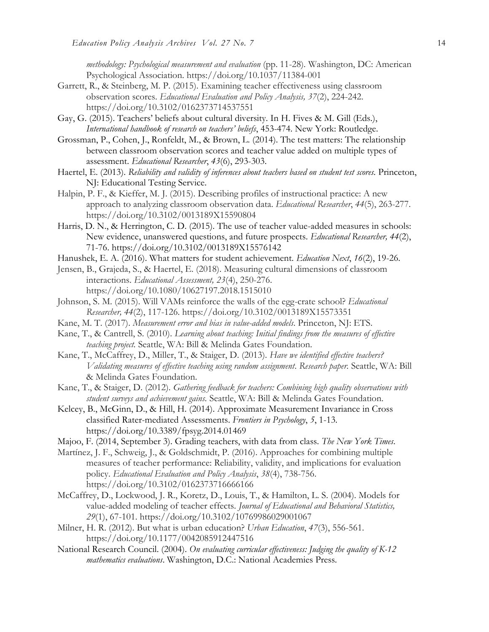*methodology: Psychological measurement and evaluation* (pp. 11-28)*.* Washington, DC: American Psychological Association. https://doi.org/10.1037/11384-001

- Garrett, R., & Steinberg, M. P. (2015). Examining teacher effectiveness using classroom observation scores. *Educational Evaluation and Policy Analysis, 37*(2), 224-242. https://doi.org/10.3102/0162373714537551
- Gay, G. (2015). Teachers' beliefs about cultural diversity. In H. Fives & M. Gill (Eds.), *International handbook of research on teachers' beliefs*, 453-474. New York: Routledge.
- Grossman, P., Cohen, J., Ronfeldt, M., & Brown, L. (2014). The test matters: The relationship between classroom observation scores and teacher value added on multiple types of assessment. *Educational Researcher*, *43*(6), 293-303.
- Haertel, E. (2013). *Reliability and validity of inferences about teachers based on student test scores.* Princeton, NJ: Educational Testing Service.
- Halpin, P. F., & Kieffer, M. J. (2015). Describing profiles of instructional practice: A new approach to analyzing classroom observation data. *Educational Researcher*, *44*(5), 263-277. https://doi.org/10.3102/0013189X15590804
- Harris, D. N., & Herrington, C. D. (2015). The use of teacher value-added measures in schools: New evidence, unanswered questions, and future prospects. *Educational Researcher, 44*(2), 71-76. https://doi.org/10.3102/0013189X15576142
- Hanushek, E. A. (2016). What matters for student achievement. *Education Next*, *16*(2), 19-26.
- Jensen, B., Grajeda, S., & Haertel, E. (2018). Measuring cultural dimensions of classroom interactions. *Educational Assessment, 23*(4), 250-276. https://doi.org/10.1080/10627197.2018.1515010
- Johnson, S. M. (2015). Will VAMs reinforce the walls of the egg-crate school? *Educational Researcher, 44*(2), 117-126. https://doi.org/10.3102/0013189X15573351
- Kane, M. T. (2017). *Measurement error and bias in value-added models*. Princeton, NJ: ETS.
- Kane, T., & Cantrell, S. (2010). *Learning about teaching: Initial findings from the measures of effective teaching project.* Seattle, WA: Bill & Melinda Gates Foundation.
- Kane, T., McCaffrey, D., Miller, T., & Staiger, D. (2013). *Have we identified effective teachers? Validating measures of effective teaching using random assignment*. *Research paper.* Seattle, WA: Bill & Melinda Gates Foundation.
- Kane, T., & Staiger, D. (2012). *Gathering feedback for teachers: Combining high quality observations with student surveys and achievement gains.* Seattle, WA: Bill & Melinda Gates Foundation.
- Kelcey, B., McGinn, D., & Hill, H. (2014). Approximate Measurement Invariance in Cross classified Rater-mediated Assessments. *Frontiers in Psychology*, *5*, 1-13*.* https://doi.org/10.3389/fpsyg.2014.01469
- Majoo, F. (2014, September 3). Grading teachers, with data from class. *The New York Times*.
- Martínez, J. F., Schweig, J., & Goldschmidt, P. (2016). Approaches for combining multiple measures of teacher performance: Reliability, validity, and implications for evaluation policy. *Educational Evaluation and Policy Analysis*, *38*(4), 738-756. https://doi.org/10.3102/0162373716666166
- McCaffrey, D., Lockwood, J. R., Koretz, D., Louis, T., & Hamilton, L. S. (2004). Models for value-added modeling of teacher effects. *Journal of Educational and Behavioral Statistics, 29*(1), 67-101. https://doi.org/10.3102/10769986029001067
- Milner, H. R. (2012). But what is urban education? *Urban Education*, *47*(3), 556-561. https://doi.org/10.1177/0042085912447516
- National Research Council. (2004). *On evaluating curricular effectiveness: Judging the quality of K-12 mathematics evaluations*. Washington, D.C.: National Academies Press.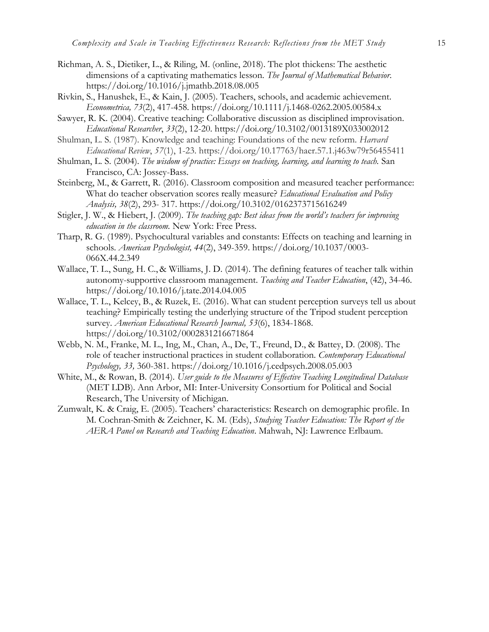- Richman, A. S., Dietiker, L., & Riling, M. (online, 2018). The plot thickens: The aesthetic dimensions of a captivating mathematics lesson. *The Journal of Mathematical Behavior*. https://doi.org/10.1016/j.jmathb.2018.08.005
- Rivkin, S., Hanushek, E., & Kain, J. (2005). Teachers, schools, and academic achievement. *Econometrica, 73*(2), 417-458. https://doi.org/10.1111/j.1468-0262.2005.00584.x
- Sawyer, R. K. (2004). Creative teaching: Collaborative discussion as disciplined improvisation. *Educational Researcher*, *33*(2), 12-20. https://doi.org/10.3102/0013189X033002012
- Shulman, L. S. (1987). Knowledge and teaching: Foundations of the new reform. *Harvard Educational Review*, *57*(1), 1-23. https://doi.org/10.17763/haer.57.1.j463w79r56455411
- Shulman, L. S. (2004). *The wisdom of practice: Essays on teaching, learning, and learning to teach.* San Francisco, CA: Jossey-Bass.
- Steinberg, M., & Garrett, R. (2016). Classroom composition and measured teacher performance: What do teacher observation scores really measure? *Educational Evaluation and Policy Analysis, 38*(2), 293- 317. https://doi.org/10.3102/0162373715616249
- Stigler, J. W., & Hiebert, J. (2009). *The teaching gap: Best ideas from the world's teachers for improving education in the classroom.* New York: Free Press.
- Tharp, R. G. (1989). Psychocultural variables and constants: Effects on teaching and learning in schools. *American Psychologist, 44*(2), 349-359. https://doi.org/10.1037/0003- 066X.44.2.349
- Wallace, T. L., Sung, H. C., & Williams, J. D. (2014). The defining features of teacher talk within autonomy-supportive classroom management. *Teaching and Teacher Education*, (42), 34-46. https://doi.org/10.1016/j.tate.2014.04.005
- Wallace, T. L., Kelcey, B., & Ruzek, E. (2016). What can student perception surveys tell us about teaching? Empirically testing the underlying structure of the Tripod student perception survey. *American Educational Research Journal, 53*(6), 1834-1868. https://doi.org/10.3102/0002831216671864
- Webb, N. M., Franke, M. L., Ing, M., Chan, A., De, T., Freund, D., & Battey, D. (2008). The role of teacher instructional practices in student collaboration. *Contemporary Educational Psychology, 33,* 360-381. https://doi.org/10.1016/j.cedpsych.2008.05.003
- White, M., & Rowan, B. (2014). *User guide to the Measures of Effective Teaching Longitudinal Database* (MET LDB). Ann Arbor, MI: Inter-University Consortium for Political and Social Research, The University of Michigan.
- Zumwalt, K. & Craig, E. (2005). Teachers' characteristics: Research on demographic profile. In M. Cochran-Smith & Zeichner, K. M. (Eds), *Studying Teacher Education: The Report of the AERA Panel on Research and Teaching Education*. Mahwah, NJ: Lawrence Erlbaum.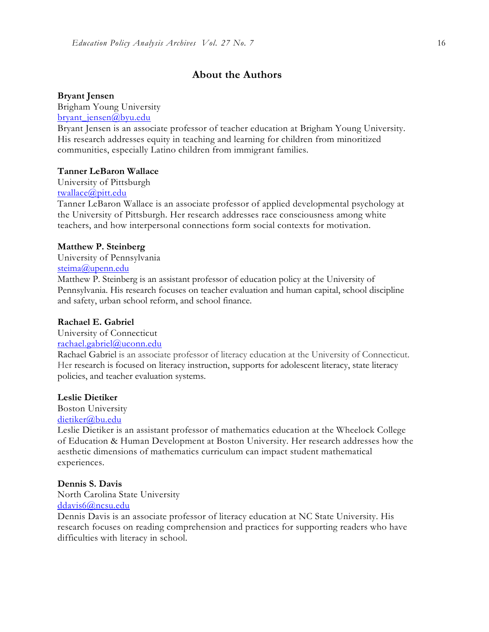## **About the Authors**

#### **Bryant Jensen**

Brigham Young University

[bryant\\_jensen@byu.edu](mailto:bryant_jensen@byu.edu)

Bryant Jensen is an associate professor of teacher education at Brigham Young University. His research addresses equity in teaching and learning for children from minoritized communities, especially Latino children from immigrant families.

#### **Tanner LeBaron Wallace**

University of Pittsburgh [twallace@pitt.edu](mailto:twallace@pitt.edu)

Tanner LeBaron Wallace is an associate professor of applied developmental psychology at the University of Pittsburgh. Her research addresses race consciousness among white teachers, and how interpersonal connections form social contexts for motivation.

#### **Matthew P. Steinberg**

University of Pennsylvania [steima@upenn.edu](mailto:steima@upenn.edu)

Matthew P. Steinberg is an assistant professor of education policy at the University of Pennsylvania. His research focuses on teacher evaluation and human capital, school discipline and safety, urban school reform, and school finance.

### **Rachael E. Gabriel**

University of Connecticut

## [rachael.gabriel@uconn.edu](mailto:rachael.gabriel@uconn.edu)

Rachael Gabriel is an associate professor of literacy education at the University of Connecticut. Her research is focused on literacy instruction, supports for adolescent literacy, state literacy policies, and teacher evaluation systems.

#### **Leslie Dietiker**

Boston University [dietiker@bu.edu](mailto:dietiker@bu.edu)

Leslie Dietiker is an assistant professor of mathematics education at the Wheelock College of Education & Human Development at Boston University. Her research addresses how the aesthetic dimensions of mathematics curriculum can impact student mathematical experiences.

#### **Dennis S. Davis**

North Carolina State University [ddavis6@ncsu.edu](mailto:ddavis6@ncsu.edu)

Dennis Davis is an associate professor of literacy education at NC State University. His research focuses on reading comprehension and practices for supporting readers who have difficulties with literacy in school.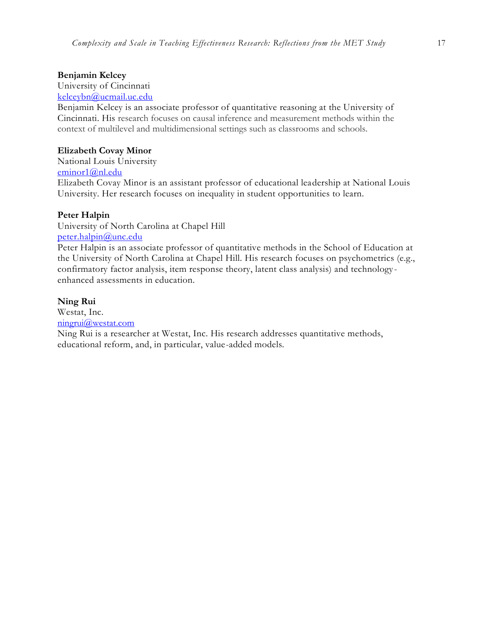#### **Benjamin Kelcey**

University of Cincinnati [kelceybn@ucmail.uc.edu](mailto:kelceybn@ucmail.uc.edu)

Benjamin Kelcey is an associate professor of quantitative reasoning at the University of Cincinnati. His research focuses on causal inference and measurement methods within the context of multilevel and multidimensional settings such as classrooms and schools.

## **Elizabeth Covay Minor**

National Louis University [eminor1@nl.edu](mailto:eminor1@nl.edu) Elizabeth Covay Minor is an assistant professor of educational leadership at National Louis University. Her research focuses on inequality in student opportunities to learn.

## **Peter Halpin**

University of North Carolina at Chapel Hill [peter.halpin@unc.edu](mailto:peter.halpin@unc.edu)

Peter Halpin is an associate professor of quantitative methods in the School of Education at the University of North Carolina at Chapel Hill. His research focuses on psychometrics (e.g., confirmatory factor analysis, item response theory, latent class analysis) and technology enhanced assessments in education.

#### **Ning Rui**

Westat, Inc. [ningrui@westat.com](mailto:ningrui@westat.com) Ning Rui is a researcher at Westat, Inc. His research addresses quantitative methods,

educational reform, and, in particular, value-added models.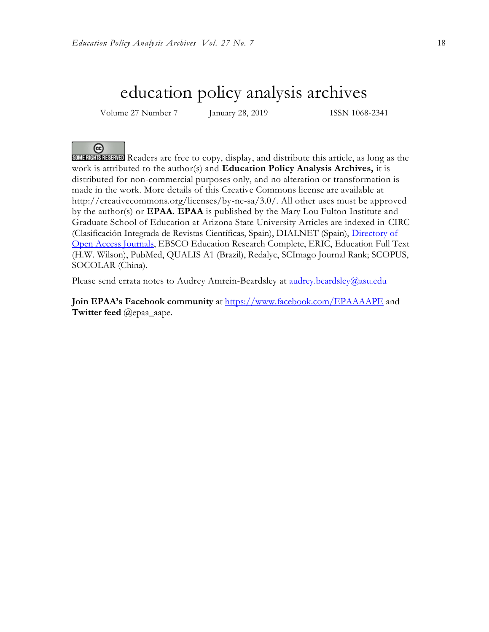## education policy analysis archives

Volume 27 Number 7 January 28, 2019 ISSN 1068-2341

@ Readers are free to copy, display, and distribute this article, as long as the work is attributed to the author(s) and **Education Policy Analysis Archives,** it is distributed for non-commercial purposes only, and no alteration or transformation is made in the work. More details of this Creative Commons license are available at http://creativecommons.org/licenses/by-nc-sa/3.0/. All other uses must be approved by the author(s) or **EPAA**. **EPAA** is published by the Mary Lou Fulton Institute and Graduate School of Education at Arizona State University Articles are indexed in CIRC (Clasificación Integrada de Revistas Científicas, Spain), DIALNET (Spain), [Directory of](http://www.doaj.org/)  [Open Access Journals,](http://www.doaj.org/) EBSCO Education Research Complete, ERIC, Education Full Text (H.W. Wilson), PubMed, QUALIS A1 (Brazil), Redalyc, SCImago Journal Rank; SCOPUS, SOCOLAR (China).

Please send errata notes to Audrey Amrein-Beardsley at audrey.beardsley@asu.edu

**Join EPAA's Facebook community** at<https://www.facebook.com/EPAAAAPE> and **Twitter feed** @epaa\_aape.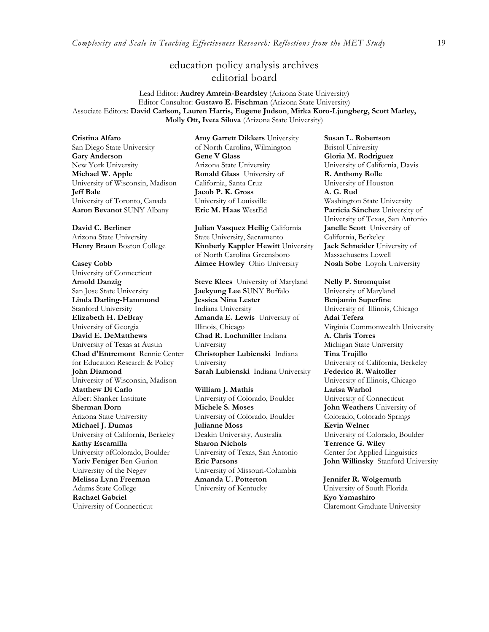## education policy analysis archives editorial board

Lead Editor: **Audrey Amrein-Beardsley** (Arizona State University) Editor Consultor: **Gustavo E. Fischman** (Arizona State University) Associate Editors: **David Carlson, Lauren Harris, Eugene Judson**, **Mirka Koro-Ljungberg, Scott Marley, Molly Ott, Iveta Silova** (Arizona State University)

#### **Cristina Alfaro**

San Diego State University **Gary Anderson** New York University **Michael W. Apple**  University of Wisconsin, Madison **Jeff Bale**  University of Toronto, Canada

**David C. Berliner**  Arizona State University

**Casey Cobb** University of Connecticut **Arnold Danzig** San Jose State University **Linda Darling-Hammond**  Stanford University **Elizabeth H. DeBray**  University of Georgia **David E. DeMatthews** University of Texas at Austin **Chad d'Entremont** Rennie Center for Education Research & Policy **John Diamond** University of Wisconsin, Madison **Matthew Di Carlo**  Albert Shanker Institute **Sherman Dorn** Arizona State University **Michael J. Dumas**  University of California, Berkeley **Kathy Escamilla**  University ofColorado, Boulder **Yariv Feniger** Ben-Gurion University of the Negev **Melissa Lynn Freeman**  Adams State College **Rachael Gabriel** University of Connecticut

**Amy Garrett Dikkers** University of North Carolina, Wilmington **Gene V Glass**  Arizona State University **Ronald Glass** University of California, Santa Cruz **Jacob P. K. Gross**  University of Louisville<br>Eric M. Haas WestEd

**Julian Vasquez Heilig** California State University, Sacramento **Henry Braun** Boston College **Kimberly Kappler Hewitt** University of North Carolina Greensboro **Aimee Howley** Ohio University

> **Steve Klees** University of Maryland **Jaekyung Lee S**UNY Buffalo **Jessica Nina Lester** Indiana University **Amanda E. Lewis** University of Illinois, Chicago **Chad R. Lochmiller** Indiana University **Christopher Lubienski** Indiana University **Sarah Lubienski** Indiana University **Federico R. Waitoller**

**William J. Mathis**  University of Colorado, Boulder **Michele S. Moses**  University of Colorado, Boulder **Julianne Moss** Deakin University, Australia **Sharon Nichols**  University of Texas, San Antonio **Eric Parsons** University of Missouri-Columbia **Amanda U. Potterton** University of Kentucky

**Susan L. Robertson** Bristol University **Gloria M. Rodriguez** University of California, Davis **R. Anthony Rolle**  University of Houston **A. G. Rud**  Washington State University **Aaron Bevanot** SUNY Albany **Eric M. Haas** WestEd **Patricia Sánchez** University of University of Texas, San Antonio **Janelle Scott** University of California, Berkeley **Jack Schneider** University of Massachusetts Lowell<br>Noah Sobe Loyola University

#### **Nelly P. Stromquist**

University of Maryland **Benjamin Superfine**  University of Illinois, Chicago **Adai Tefera**  Virginia Commonwealth University **A. Chris Torres** Michigan State University **Tina Trujillo**  University of California, Berkeley University of Illinois, Chicago **Larisa Warhol** University of Connecticut **John Weathers** University of Colorado, Colorado Springs **Kevin Welner** University of Colorado, Boulder **Terrence G. Wiley**  Center for Applied Linguistics **John Willinsky** Stanford University

**Jennifer R. Wolgemuth**  University of South Florida **Kyo Yamashiro**  Claremont Graduate University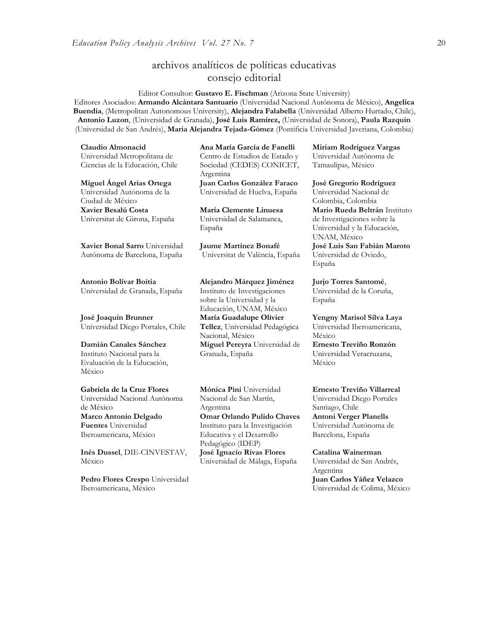## archivos analíticos de políticas educativas consejo editorial

Editor Consultor: **Gustavo E. Fischman** (Arizona State University) Editores Asociados: **Armando Alcántara Santuario** (Universidad Nacional Autónoma de México), **Angelica Buendia**, (Metropolitan Autonomous University), **Alejandra Falabella** (Universidad Alberto Hurtado, Chile), **Antonio Luzon**, (Universidad de Granada), **José Luis Ramírez,** (Universidad de Sonora), **[Paula Razquin](javascript:openRTWindow()** (Universidad de San Andrés), **Maria Alejandra Tejada-Gómez** (Pontificia Universidad Javeriana, Colombia)

| Claudio Almonacid                     | Ana María García de Fanelli            |  |
|---------------------------------------|----------------------------------------|--|
| Universidad Metropolitana de          | Centro de Estudios de Estado y         |  |
| Ciencias de la Educación, Chile       | Sociedad (CEDES) CONICET,<br>Argentina |  |
| Miguel Angel Arias Ortega             | Juan Carlos González Faraco            |  |
| Universidad Autónoma de la            | Universidad de Huelva, España          |  |
| Ciudad de México                      |                                        |  |
| Xavier Besalú Costa                   | María Clemente Linuesa                 |  |
| Universitat de Girona, España         | Universidad de Salamanca,<br>España    |  |
| <b>Xavier Bonal Sarro</b> Universidad | <b>Jaume Martínez Bonafé</b>           |  |
| Autónoma de Barcelona, España         | Universitat de València, España        |  |
| Antonio Bolívar Boitia                | Alejandro Márquez Jiménez              |  |
| Universidad de Granada, España        | Instituto de Investigaciones           |  |
|                                       | sobre la Universidad y la              |  |
|                                       | Educación, UNAM, México                |  |
| José Joaquín Brunner                  | María Guadalupe Olivier                |  |
| Universidad Diego Portales, Chile     | Tellez, Universidad Pedagógica         |  |
|                                       | Nacional, México                       |  |
| Damián Canales Sánchez                | Miguel Pereyra Universidad de          |  |
| Instituto Nacional para la            | Granada, España                        |  |
| Evaluación de la Educación,           |                                        |  |
| México                                |                                        |  |

**Gabriela de la Cruz Flores** Universidad Nacional Autónoma de México **[Marco Antonio Delgado](javascript:openRTWindow()  [Fuentes](javascript:openRTWindow()** Universidad Iberoamericana, México

**[Inés Dussel](javascript:openRTWindow()**, DIE-CINVESTAV, México

**[Pedro Flores Crespo](javascript:openRTWindow()** Universidad Iberoamericana, México

**[Mónica Pini](javascript:openRTWindow()** Universidad Nacional de San Martín, Argentina **Omar Orlando Pulido Chaves** Instituto para la Investigación Educativa y el Desarrollo Pedagógico (IDEP) **José Ignacio Rivas Flores** Universidad de Málaga, España

**[Miriam Rodríguez Vargas](javascript:openRTWindow()** Universidad Autónoma de Tamaulipas, México

#### **José Gregorio Rodríguez**

Universidad Nacional de Colombia, Colombia **[Mario Rueda Beltrán](javascript:openRTWindow()** Instituto de Investigaciones sobre la Universidad y la Educación, UNAM, México **José Luis San Fabián Maroto**  Universidad de Oviedo, España

**[Jurjo Torres Santomé](javascript:openRTWindow()**, Universidad de la Coruña, España

**[Yengny Marisol Silva Laya](javascript:openRTWindow()** Universidad Iberoamericana, México **Ernesto Treviño Ronzón** Universidad Veracruzana, México

**[Ernesto Treviño](javascript:openRTWindow() Villarreal** Universidad Diego Portales Santiago, Chile **[Antoni Verger Planells](javascript:openRTWindow()** Universidad Autónoma de Barcelona, España

**[Catalina Wainerman](javascript:openRTWindow()** Universidad de San Andrés, Argentina **Juan Carlos Yáñez Velazco** Universidad de Colima, México